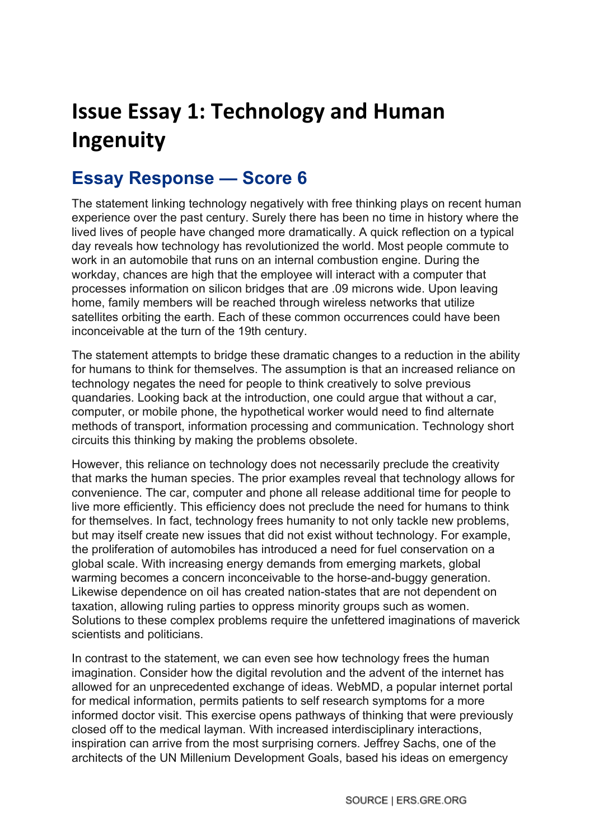# **Issue Essay 1: Technology and Human Ingenuity**

# **Essay Response — Score 6**

The statement linking technology negatively with free thinking plays on recent human experience over the past century. Surely there has been no time in history where the lived lives of people have changed more dramatically. A quick reflection on a typical day reveals how technology has revolutionized the world. Most people commute to work in an automobile that runs on an internal combustion engine. During the workday, chances are high that the employee will interact with a computer that processes information on silicon bridges that are .09 microns wide. Upon leaving home, family members will be reached through wireless networks that utilize satellites orbiting the earth. Each of these common occurrences could have been inconceivable at the turn of the 19th century.

The statement attempts to bridge these dramatic changes to a reduction in the ability for humans to think for themselves. The assumption is that an increased reliance on technology negates the need for people to think creatively to solve previous quandaries. Looking back at the introduction, one could argue that without a car, computer, or mobile phone, the hypothetical worker would need to find alternate methods of transport, information processing and communication. Technology short circuits this thinking by making the problems obsolete.

However, this reliance on technology does not necessarily preclude the creativity that marks the human species. The prior examples reveal that technology allows for convenience. The car, computer and phone all release additional time for people to live more efficiently. This efficiency does not preclude the need for humans to think for themselves. In fact, technology frees humanity to not only tackle new problems, but may itself create new issues that did not exist without technology. For example, the proliferation of automobiles has introduced a need for fuel conservation on a global scale. With increasing energy demands from emerging markets, global warming becomes a concern inconceivable to the horse-and-buggy generation. Likewise dependence on oil has created nation-states that are not dependent on taxation, allowing ruling parties to oppress minority groups such as women. Solutions to these complex problems require the unfettered imaginations of maverick scientists and politicians.

In contrast to the statement, we can even see how technology frees the human imagination. Consider how the digital revolution and the advent of the internet has allowed for an unprecedented exchange of ideas. WebMD, a popular internet portal for medical information, permits patients to self research symptoms for a more informed doctor visit. This exercise opens pathways of thinking that were previously closed off to the medical layman. With increased interdisciplinary interactions, inspiration can arrive from the most surprising corners. Jeffrey Sachs, one of the architects of the UN Millenium Development Goals, based his ideas on emergency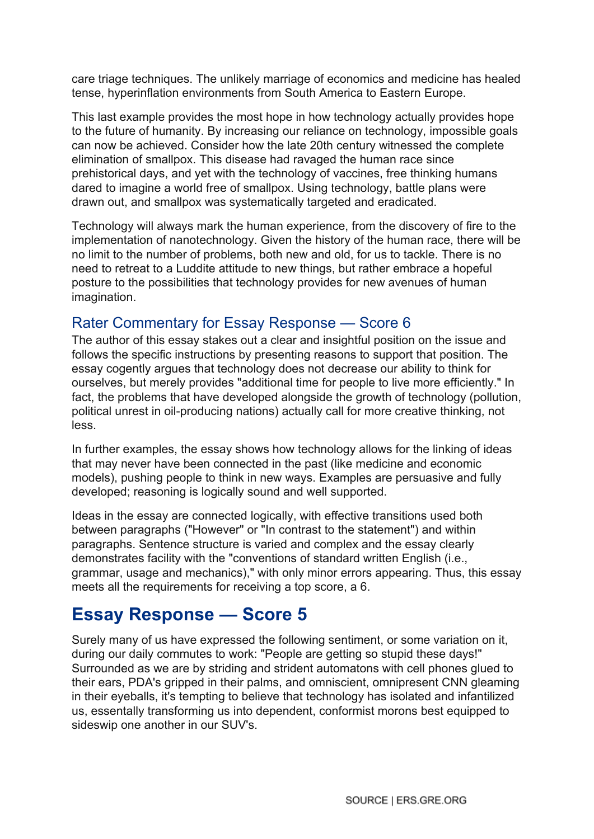care triage techniques. The unlikely marriage of economics and medicine has healed tense, hyperinflation environments from South America to Eastern Europe.

This last example provides the most hope in how technology actually provides hope to the future of humanity. By increasing our reliance on technology, impossible goals can now be achieved. Consider how the late 20th century witnessed the complete elimination of smallpox. This disease had ravaged the human race since prehistorical days, and yet with the technology of vaccines, free thinking humans dared to imagine a world free of smallpox. Using technology, battle plans were drawn out, and smallpox was systematically targeted and eradicated.

Technology will always mark the human experience, from the discovery of fire to the implementation of nanotechnology. Given the history of the human race, there will be no limit to the number of problems, both new and old, for us to tackle. There is no need to retreat to a Luddite attitude to new things, but rather embrace a hopeful posture to the possibilities that technology provides for new avenues of human imagination.

### Rater Commentary for Essay Response — Score 6

The author of this essay stakes out a clear and insightful position on the issue and follows the specific instructions by presenting reasons to support that position. The essay cogently argues that technology does not decrease our ability to think for ourselves, but merely provides "additional time for people to live more efficiently." In fact, the problems that have developed alongside the growth of technology (pollution, political unrest in oil-producing nations) actually call for more creative thinking, not less.

In further examples, the essay shows how technology allows for the linking of ideas that may never have been connected in the past (like medicine and economic models), pushing people to think in new ways. Examples are persuasive and fully developed; reasoning is logically sound and well supported.

Ideas in the essay are connected logically, with effective transitions used both between paragraphs ("However" or "In contrast to the statement") and within paragraphs. Sentence structure is varied and complex and the essay clearly demonstrates facility with the "conventions of standard written English (i.e., grammar, usage and mechanics)," with only minor errors appearing. Thus, this essay meets all the requirements for receiving a top score, a 6.

# **Essay Response — Score 5**

Surely many of us have expressed the following sentiment, or some variation on it, during our daily commutes to work: "People are getting so stupid these days!" Surrounded as we are by striding and strident automatons with cell phones glued to their ears, PDA's gripped in their palms, and omniscient, omnipresent CNN gleaming in their eyeballs, it's tempting to believe that technology has isolated and infantilized us, essentally transforming us into dependent, conformist morons best equipped to sideswip one another in our SUV's.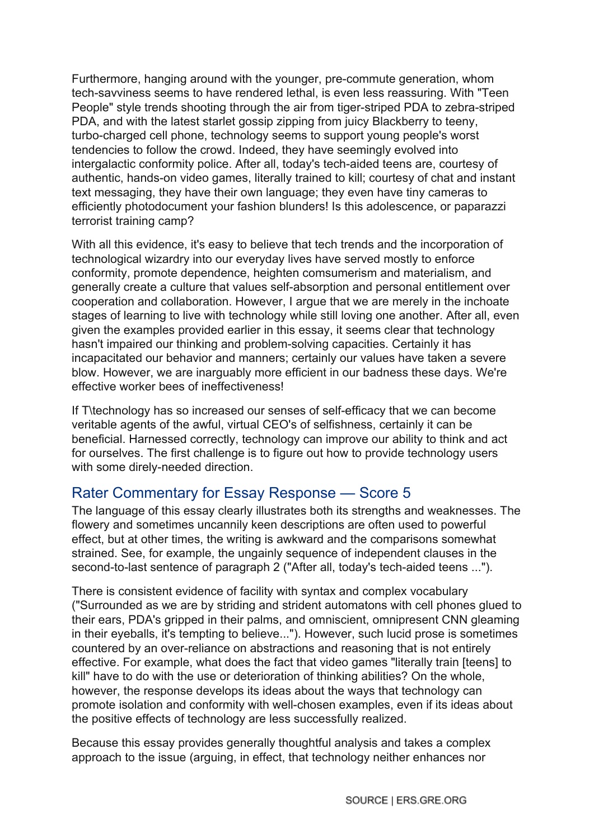Furthermore, hanging around with the younger, pre-commute generation, whom tech-savviness seems to have rendered lethal, is even less reassuring. With "Teen People" style trends shooting through the air from tiger-striped PDA to zebra-striped PDA, and with the latest starlet gossip zipping from juicy Blackberry to teeny, turbo-charged cell phone, technology seems to support young people's worst tendencies to follow the crowd. Indeed, they have seemingly evolved into intergalactic conformity police. After all, today's tech-aided teens are, courtesy of authentic, hands-on video games, literally trained to kill; courtesy of chat and instant text messaging, they have their own language; they even have tiny cameras to efficiently photodocument your fashion blunders! Is this adolescence, or paparazzi terrorist training camp?

With all this evidence, it's easy to believe that tech trends and the incorporation of technological wizardry into our everyday lives have served mostly to enforce conformity, promote dependence, heighten comsumerism and materialism, and generally create a culture that values self-absorption and personal entitlement over cooperation and collaboration. However, I argue that we are merely in the inchoate stages of learning to live with technology while still loving one another. After all, even given the examples provided earlier in this essay, it seems clear that technology hasn't impaired our thinking and problem-solving capacities. Certainly it has incapacitated our behavior and manners; certainly our values have taken a severe blow. However, we are inarguably more efficient in our badness these days. We're effective worker bees of ineffectiveness!

If T\technology has so increased our senses of self-efficacy that we can become veritable agents of the awful, virtual CEO's of selfishness, certainly it can be beneficial. Harnessed correctly, technology can improve our ability to think and act for ourselves. The first challenge is to figure out how to provide technology users with some direly-needed direction.

### Rater Commentary for Essay Response — Score 5

The language of this essay clearly illustrates both its strengths and weaknesses. The flowery and sometimes uncannily keen descriptions are often used to powerful effect, but at other times, the writing is awkward and the comparisons somewhat strained. See, for example, the ungainly sequence of independent clauses in the second-to-last sentence of paragraph 2 ("After all, today's tech-aided teens ...").

There is consistent evidence of facility with syntax and complex vocabulary ("Surrounded as we are by striding and strident automatons with cell phones glued to their ears, PDA's gripped in their palms, and omniscient, omnipresent CNN gleaming in their eyeballs, it's tempting to believe..."). However, such lucid prose is sometimes countered by an over-reliance on abstractions and reasoning that is not entirely effective. For example, what does the fact that video games "literally train [teens] to kill" have to do with the use or deterioration of thinking abilities? On the whole, however, the response develops its ideas about the ways that technology can promote isolation and conformity with well-chosen examples, even if its ideas about the positive effects of technology are less successfully realized.

Because this essay provides generally thoughtful analysis and takes a complex approach to the issue (arguing, in effect, that technology neither enhances nor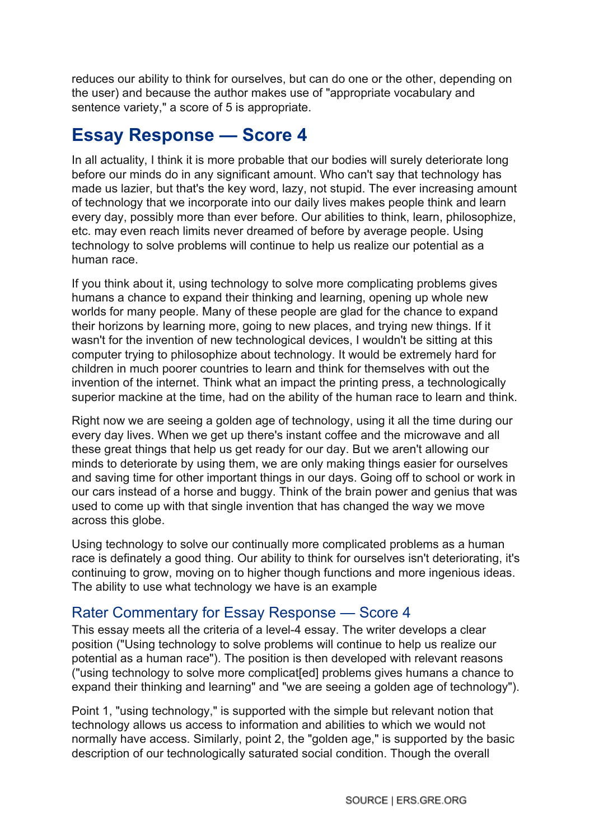reduces our ability to think for ourselves, but can do one or the other, depending on the user) and because the author makes use of "appropriate vocabulary and sentence variety," a score of 5 is appropriate.

### **Essay Response — Score 4**

In all actuality, I think it is more probable that our bodies will surely deteriorate long before our minds do in any significant amount. Who can't say that technology has made us lazier, but that's the key word, lazy, not stupid. The ever increasing amount of technology that we incorporate into our daily lives makes people think and learn every day, possibly more than ever before. Our abilities to think, learn, philosophize, etc. may even reach limits never dreamed of before by average people. Using technology to solve problems will continue to help us realize our potential as a human race.

If you think about it, using technology to solve more complicating problems gives humans a chance to expand their thinking and learning, opening up whole new worlds for many people. Many of these people are glad for the chance to expand their horizons by learning more, going to new places, and trying new things. If it wasn't for the invention of new technological devices, I wouldn't be sitting at this computer trying to philosophize about technology. It would be extremely hard for children in much poorer countries to learn and think for themselves with out the invention of the internet. Think what an impact the printing press, a technologically superior mackine at the time, had on the ability of the human race to learn and think.

Right now we are seeing a golden age of technology, using it all the time during our every day lives. When we get up there's instant coffee and the microwave and all these great things that help us get ready for our day. But we aren't allowing our minds to deteriorate by using them, we are only making things easier for ourselves and saving time for other important things in our days. Going off to school or work in our cars instead of a horse and buggy. Think of the brain power and genius that was used to come up with that single invention that has changed the way we move across this globe.

Using technology to solve our continually more complicated problems as a human race is definately a good thing. Our ability to think for ourselves isn't deteriorating, it's continuing to grow, moving on to higher though functions and more ingenious ideas. The ability to use what technology we have is an example

### Rater Commentary for Essay Response — Score 4

This essay meets all the criteria of a level-4 essay. The writer develops a clear position ("Using technology to solve problems will continue to help us realize our potential as a human race"). The position is then developed with relevant reasons ("using technology to solve more complicat[ed] problems gives humans a chance to expand their thinking and learning" and "we are seeing a golden age of technology").

Point 1, "using technology," is supported with the simple but relevant notion that technology allows us access to information and abilities to which we would not normally have access. Similarly, point 2, the "golden age," is supported by the basic description of our technologically saturated social condition. Though the overall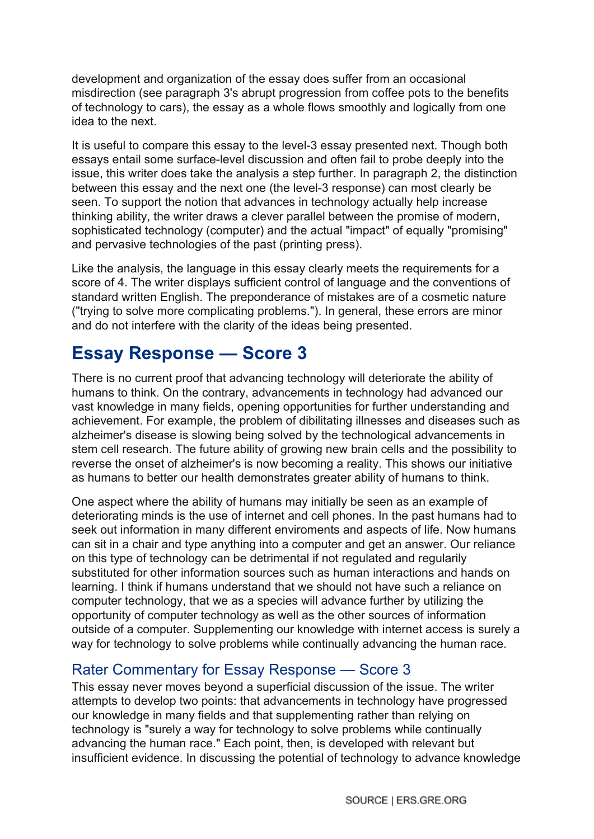development and organization of the essay does suffer from an occasional misdirection (see paragraph 3's abrupt progression from coffee pots to the benefits of technology to cars), the essay as a whole flows smoothly and logically from one idea to the next.

It is useful to compare this essay to the level-3 essay presented next. Though both essays entail some surface-level discussion and often fail to probe deeply into the issue, this writer does take the analysis a step further. In paragraph 2, the distinction between this essay and the next one (the level-3 response) can most clearly be seen. To support the notion that advances in technology actually help increase thinking ability, the writer draws a clever parallel between the promise of modern, sophisticated technology (computer) and the actual "impact" of equally "promising" and pervasive technologies of the past (printing press).

Like the analysis, the language in this essay clearly meets the requirements for a score of 4. The writer displays sufficient control of language and the conventions of standard written English. The preponderance of mistakes are of a cosmetic nature ("trying to solve more complicating problems."). In general, these errors are minor and do not interfere with the clarity of the ideas being presented.

## **Essay Response — Score 3**

There is no current proof that advancing technology will deteriorate the ability of humans to think. On the contrary, advancements in technology had advanced our vast knowledge in many fields, opening opportunities for further understanding and achievement. For example, the problem of dibilitating illnesses and diseases such as alzheimer's disease is slowing being solved by the technological advancements in stem cell research. The future ability of growing new brain cells and the possibility to reverse the onset of alzheimer's is now becoming a reality. This shows our initiative as humans to better our health demonstrates greater ability of humans to think.

One aspect where the ability of humans may initially be seen as an example of deteriorating minds is the use of internet and cell phones. In the past humans had to seek out information in many different enviroments and aspects of life. Now humans can sit in a chair and type anything into a computer and get an answer. Our reliance on this type of technology can be detrimental if not regulated and regularily substituted for other information sources such as human interactions and hands on learning. I think if humans understand that we should not have such a reliance on computer technology, that we as a species will advance further by utilizing the opportunity of computer technology as well as the other sources of information outside of a computer. Supplementing our knowledge with internet access is surely a way for technology to solve problems while continually advancing the human race.

### Rater Commentary for Essay Response — Score 3

This essay never moves beyond a superficial discussion of the issue. The writer attempts to develop two points: that advancements in technology have progressed our knowledge in many fields and that supplementing rather than relying on technology is "surely a way for technology to solve problems while continually advancing the human race." Each point, then, is developed with relevant but insufficient evidence. In discussing the potential of technology to advance knowledge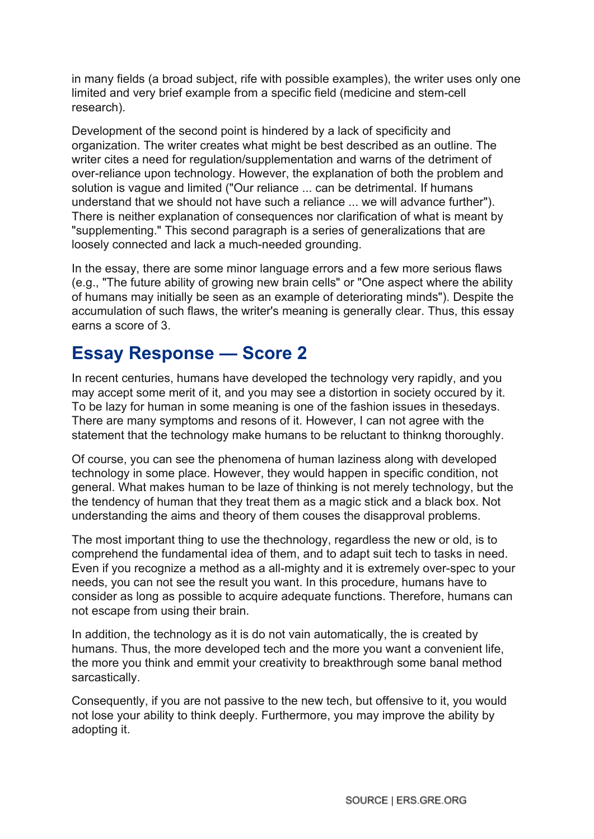in many fields (a broad subject, rife with possible examples), the writer uses only one limited and very brief example from a specific field (medicine and stem-cell research).

Development of the second point is hindered by a lack of specificity and organization. The writer creates what might be best described as an outline. The writer cites a need for regulation/supplementation and warns of the detriment of over-reliance upon technology. However, the explanation of both the problem and solution is vague and limited ("Our reliance ... can be detrimental. If humans understand that we should not have such a reliance ... we will advance further"). There is neither explanation of consequences nor clarification of what is meant by "supplementing." This second paragraph is a series of generalizations that are loosely connected and lack a much-needed grounding.

In the essay, there are some minor language errors and a few more serious flaws (e.g., "The future ability of growing new brain cells" or "One aspect where the ability of humans may initially be seen as an example of deteriorating minds"). Despite the accumulation of such flaws, the writer's meaning is generally clear. Thus, this essay earns a score of 3.

# **Essay Response — Score 2**

In recent centuries, humans have developed the technology very rapidly, and you may accept some merit of it, and you may see a distortion in society occured by it. To be lazy for human in some meaning is one of the fashion issues in thesedays. There are many symptoms and resons of it. However, I can not agree with the statement that the technology make humans to be reluctant to thinkng thoroughly.

Of course, you can see the phenomena of human laziness along with developed technology in some place. However, they would happen in specific condition, not general. What makes human to be laze of thinking is not merely technology, but the the tendency of human that they treat them as a magic stick and a black box. Not understanding the aims and theory of them couses the disapproval problems.

The most important thing to use the thechnology, regardless the new or old, is to comprehend the fundamental idea of them, and to adapt suit tech to tasks in need. Even if you recognize a method as a all-mighty and it is extremely over-spec to your needs, you can not see the result you want. In this procedure, humans have to consider as long as possible to acquire adequate functions. Therefore, humans can not escape from using their brain.

In addition, the technology as it is do not vain automatically, the is created by humans. Thus, the more developed tech and the more you want a convenient life, the more you think and emmit your creativity to breakthrough some banal method sarcastically.

Consequently, if you are not passive to the new tech, but offensive to it, you would not lose your ability to think deeply. Furthermore, you may improve the ability by adopting it.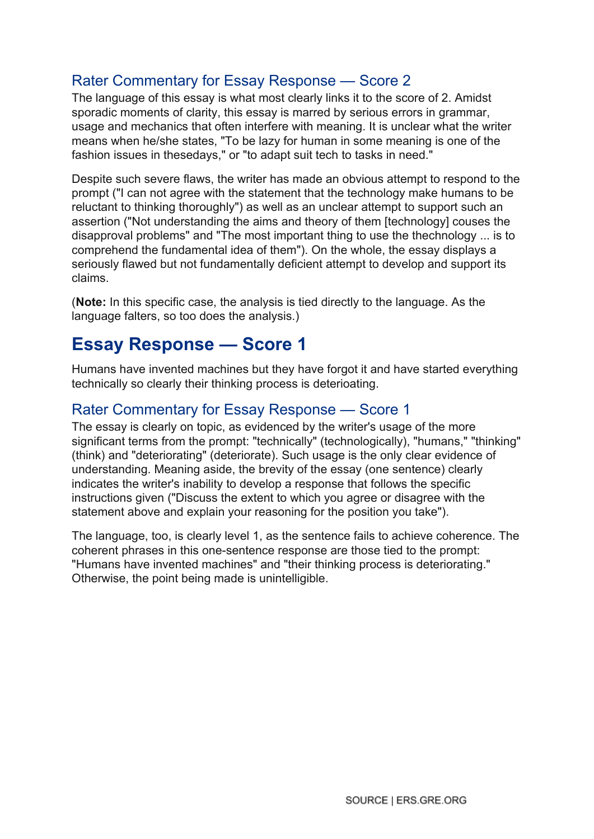### Rater Commentary for Essay Response — Score 2

The language of this essay is what most clearly links it to the score of 2. Amidst sporadic moments of clarity, this essay is marred by serious errors in grammar, usage and mechanics that often interfere with meaning. It is unclear what the writer means when he/she states, "To be lazy for human in some meaning is one of the fashion issues in thesedays," or "to adapt suit tech to tasks in need."

Despite such severe flaws, the writer has made an obvious attempt to respond to the prompt ("I can not agree with the statement that the technology make humans to be reluctant to thinking thoroughly") as well as an unclear attempt to support such an assertion ("Not understanding the aims and theory of them [technology] couses the disapproval problems" and "The most important thing to use the thechnology ... is to comprehend the fundamental idea of them"). On the whole, the essay displays a seriously flawed but not fundamentally deficient attempt to develop and support its claims.

(**Note:** In this specific case, the analysis is tied directly to the language. As the language falters, so too does the analysis.)

### **Essay Response — Score 1**

Humans have invented machines but they have forgot it and have started everything technically so clearly their thinking process is deterioating.

#### Rater Commentary for Essay Response — Score 1

The essay is clearly on topic, as evidenced by the writer's usage of the more significant terms from the prompt: "technically" (technologically), "humans," "thinking" (think) and "deteriorating" (deteriorate). Such usage is the only clear evidence of understanding. Meaning aside, the brevity of the essay (one sentence) clearly indicates the writer's inability to develop a response that follows the specific instructions given ("Discuss the extent to which you agree or disagree with the statement above and explain your reasoning for the position you take").

The language, too, is clearly level 1, as the sentence fails to achieve coherence. The coherent phrases in this one-sentence response are those tied to the prompt: "Humans have invented machines" and "their thinking process is deteriorating." Otherwise, the point being made is unintelligible.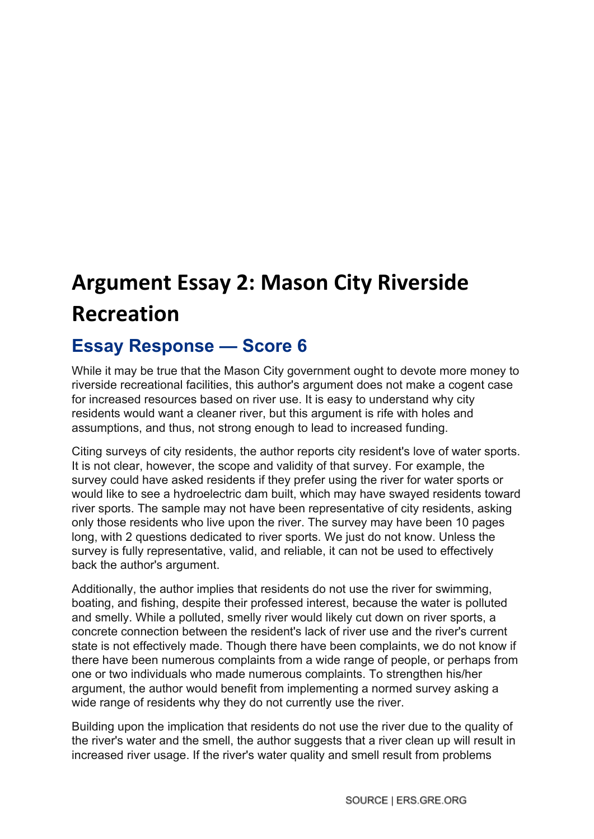# **Argument Essay 2: Mason City Riverside Recreation**

# **Essay Response — Score 6**

While it may be true that the Mason City government ought to devote more money to riverside recreational facilities, this author's argument does not make a cogent case for increased resources based on river use. It is easy to understand why city residents would want a cleaner river, but this argument is rife with holes and assumptions, and thus, not strong enough to lead to increased funding.

Citing surveys of city residents, the author reports city resident's love of water sports. It is not clear, however, the scope and validity of that survey. For example, the survey could have asked residents if they prefer using the river for water sports or would like to see a hydroelectric dam built, which may have swayed residents toward river sports. The sample may not have been representative of city residents, asking only those residents who live upon the river. The survey may have been 10 pages long, with 2 questions dedicated to river sports. We just do not know. Unless the survey is fully representative, valid, and reliable, it can not be used to effectively back the author's argument.

Additionally, the author implies that residents do not use the river for swimming, boating, and fishing, despite their professed interest, because the water is polluted and smelly. While a polluted, smelly river would likely cut down on river sports, a concrete connection between the resident's lack of river use and the river's current state is not effectively made. Though there have been complaints, we do not know if there have been numerous complaints from a wide range of people, or perhaps from one or two individuals who made numerous complaints. To strengthen his/her argument, the author would benefit from implementing a normed survey asking a wide range of residents why they do not currently use the river.

Building upon the implication that residents do not use the river due to the quality of the river's water and the smell, the author suggests that a river clean up will result in increased river usage. If the river's water quality and smell result from problems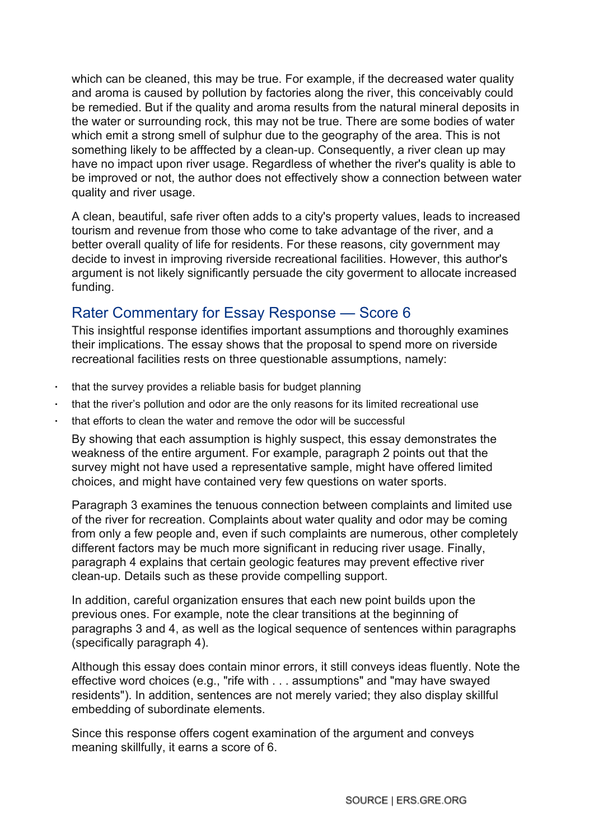which can be cleaned, this may be true. For example, if the decreased water quality and aroma is caused by pollution by factories along the river, this conceivably could be remedied. But if the quality and aroma results from the natural mineral deposits in the water or surrounding rock, this may not be true. There are some bodies of water which emit a strong smell of sulphur due to the geography of the area. This is not something likely to be afffected by a clean-up. Consequently, a river clean up may have no impact upon river usage. Regardless of whether the river's quality is able to be improved or not, the author does not effectively show a connection between water quality and river usage.

A clean, beautiful, safe river often adds to a city's property values, leads to increased tourism and revenue from those who come to take advantage of the river, and a better overall quality of life for residents. For these reasons, city government may decide to invest in improving riverside recreational facilities. However, this author's argument is not likely significantly persuade the city goverment to allocate increased funding.

### Rater Commentary for Essay Response — Score 6

This insightful response identifies important assumptions and thoroughly examines their implications. The essay shows that the proposal to spend more on riverside recreational facilities rests on three questionable assumptions, namely:

- that the survey provides a reliable basis for budget planning
- that the river's pollution and odor are the only reasons for its limited recreational use
- that efforts to clean the water and remove the odor will be successful

By showing that each assumption is highly suspect, this essay demonstrates the weakness of the entire argument. For example, paragraph 2 points out that the survey might not have used a representative sample, might have offered limited choices, and might have contained very few questions on water sports.

Paragraph 3 examines the tenuous connection between complaints and limited use of the river for recreation. Complaints about water quality and odor may be coming from only a few people and, even if such complaints are numerous, other completely different factors may be much more significant in reducing river usage. Finally, paragraph 4 explains that certain geologic features may prevent effective river clean-up. Details such as these provide compelling support.

In addition, careful organization ensures that each new point builds upon the previous ones. For example, note the clear transitions at the beginning of paragraphs 3 and 4, as well as the logical sequence of sentences within paragraphs (specifically paragraph 4).

Although this essay does contain minor errors, it still conveys ideas fluently. Note the effective word choices (e.g., "rife with . . . assumptions" and "may have swayed residents"). In addition, sentences are not merely varied; they also display skillful embedding of subordinate elements.

Since this response offers cogent examination of the argument and conveys meaning skillfully, it earns a score of 6.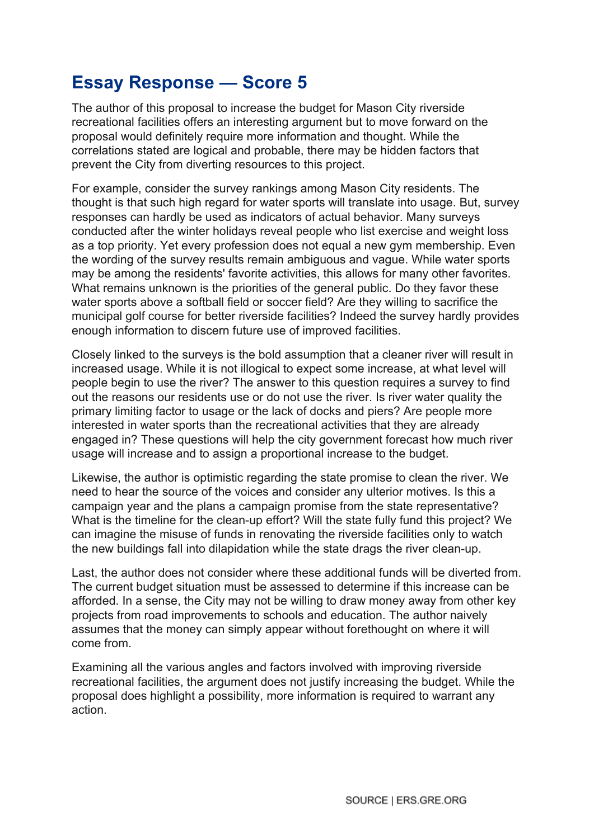# **Essay Response — Score 5**

The author of this proposal to increase the budget for Mason City riverside recreational facilities offers an interesting argument but to move forward on the proposal would definitely require more information and thought. While the correlations stated are logical and probable, there may be hidden factors that prevent the City from diverting resources to this project.

For example, consider the survey rankings among Mason City residents. The thought is that such high regard for water sports will translate into usage. But, survey responses can hardly be used as indicators of actual behavior. Many surveys conducted after the winter holidays reveal people who list exercise and weight loss as a top priority. Yet every profession does not equal a new gym membership. Even the wording of the survey results remain ambiguous and vague. While water sports may be among the residents' favorite activities, this allows for many other favorites. What remains unknown is the priorities of the general public. Do they favor these water sports above a softball field or soccer field? Are they willing to sacrifice the municipal golf course for better riverside facilities? Indeed the survey hardly provides enough information to discern future use of improved facilities.

Closely linked to the surveys is the bold assumption that a cleaner river will result in increased usage. While it is not illogical to expect some increase, at what level will people begin to use the river? The answer to this question requires a survey to find out the reasons our residents use or do not use the river. Is river water quality the primary limiting factor to usage or the lack of docks and piers? Are people more interested in water sports than the recreational activities that they are already engaged in? These questions will help the city government forecast how much river usage will increase and to assign a proportional increase to the budget.

Likewise, the author is optimistic regarding the state promise to clean the river. We need to hear the source of the voices and consider any ulterior motives. Is this a campaign year and the plans a campaign promise from the state representative? What is the timeline for the clean-up effort? Will the state fully fund this project? We can imagine the misuse of funds in renovating the riverside facilities only to watch the new buildings fall into dilapidation while the state drags the river clean-up.

Last, the author does not consider where these additional funds will be diverted from. The current budget situation must be assessed to determine if this increase can be afforded. In a sense, the City may not be willing to draw money away from other key projects from road improvements to schools and education. The author naively assumes that the money can simply appear without forethought on where it will come from.

Examining all the various angles and factors involved with improving riverside recreational facilities, the argument does not justify increasing the budget. While the proposal does highlight a possibility, more information is required to warrant any action.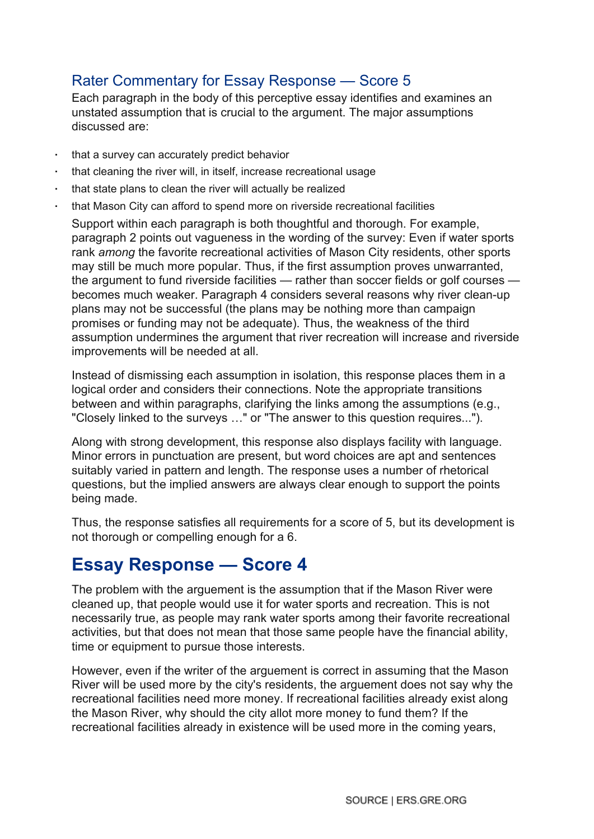### Rater Commentary for Essay Response — Score 5

Each paragraph in the body of this perceptive essay identifies and examines an unstated assumption that is crucial to the argument. The major assumptions discussed are:

- that a survey can accurately predict behavior
- that cleaning the river will, in itself, increase recreational usage
- that state plans to clean the river will actually be realized
- that Mason City can afford to spend more on riverside recreational facilities

Support within each paragraph is both thoughtful and thorough. For example, paragraph 2 points out vagueness in the wording of the survey: Even if water sports rank *among* the favorite recreational activities of Mason City residents, other sports may still be much more popular. Thus, if the first assumption proves unwarranted, the argument to fund riverside facilities — rather than soccer fields or golf courses becomes much weaker. Paragraph 4 considers several reasons why river clean-up plans may not be successful (the plans may be nothing more than campaign promises or funding may not be adequate). Thus, the weakness of the third assumption undermines the argument that river recreation will increase and riverside improvements will be needed at all.

Instead of dismissing each assumption in isolation, this response places them in a logical order and considers their connections. Note the appropriate transitions between and within paragraphs, clarifying the links among the assumptions (e.g., "Closely linked to the surveys …" or "The answer to this question requires...").

Along with strong development, this response also displays facility with language. Minor errors in punctuation are present, but word choices are apt and sentences suitably varied in pattern and length. The response uses a number of rhetorical questions, but the implied answers are always clear enough to support the points being made.

Thus, the response satisfies all requirements for a score of 5, but its development is not thorough or compelling enough for a 6.

### **Essay Response — Score 4**

The problem with the arguement is the assumption that if the Mason River were cleaned up, that people would use it for water sports and recreation. This is not necessarily true, as people may rank water sports among their favorite recreational activities, but that does not mean that those same people have the financial ability, time or equipment to pursue those interests.

However, even if the writer of the arguement is correct in assuming that the Mason River will be used more by the city's residents, the arguement does not say why the recreational facilities need more money. If recreational facilities already exist along the Mason River, why should the city allot more money to fund them? If the recreational facilities already in existence will be used more in the coming years,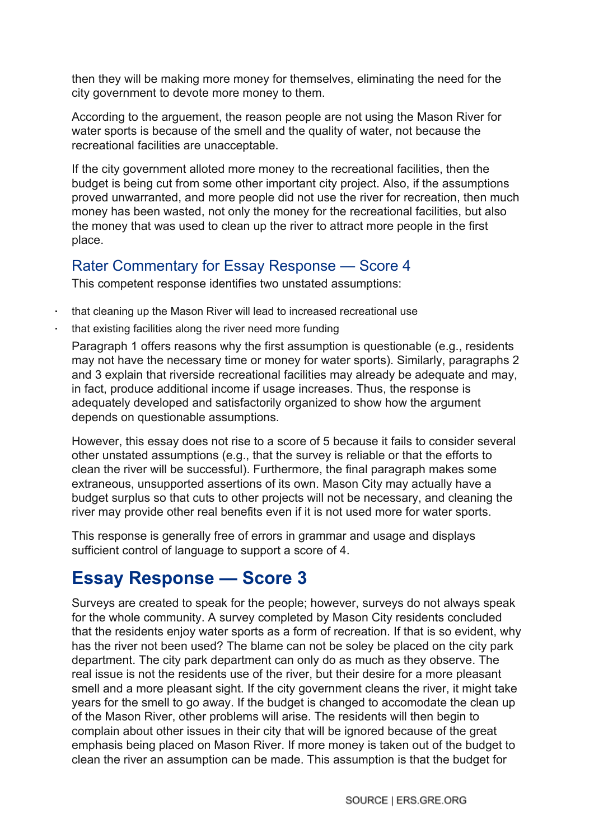then they will be making more money for themselves, eliminating the need for the city government to devote more money to them.

According to the arguement, the reason people are not using the Mason River for water sports is because of the smell and the quality of water, not because the recreational facilities are unacceptable.

If the city government alloted more money to the recreational facilities, then the budget is being cut from some other important city project. Also, if the assumptions proved unwarranted, and more people did not use the river for recreation, then much money has been wasted, not only the money for the recreational facilities, but also the money that was used to clean up the river to attract more people in the first place.

#### Rater Commentary for Essay Response — Score 4

This competent response identifies two unstated assumptions:

- that cleaning up the Mason River will lead to increased recreational use
- that existing facilities along the river need more funding

Paragraph 1 offers reasons why the first assumption is questionable (e.g., residents may not have the necessary time or money for water sports). Similarly, paragraphs 2 and 3 explain that riverside recreational facilities may already be adequate and may, in fact, produce additional income if usage increases. Thus, the response is adequately developed and satisfactorily organized to show how the argument depends on questionable assumptions.

However, this essay does not rise to a score of 5 because it fails to consider several other unstated assumptions (e.g., that the survey is reliable or that the efforts to clean the river will be successful). Furthermore, the final paragraph makes some extraneous, unsupported assertions of its own. Mason City may actually have a budget surplus so that cuts to other projects will not be necessary, and cleaning the river may provide other real benefits even if it is not used more for water sports.

This response is generally free of errors in grammar and usage and displays sufficient control of language to support a score of 4.

# **Essay Response — Score 3**

Surveys are created to speak for the people; however, surveys do not always speak for the whole community. A survey completed by Mason City residents concluded that the residents enjoy water sports as a form of recreation. If that is so evident, why has the river not been used? The blame can not be soley be placed on the city park department. The city park department can only do as much as they observe. The real issue is not the residents use of the river, but their desire for a more pleasant smell and a more pleasant sight. If the city government cleans the river, it might take years for the smell to go away. If the budget is changed to accomodate the clean up of the Mason River, other problems will arise. The residents will then begin to complain about other issues in their city that will be ignored because of the great emphasis being placed on Mason River. If more money is taken out of the budget to clean the river an assumption can be made. This assumption is that the budget for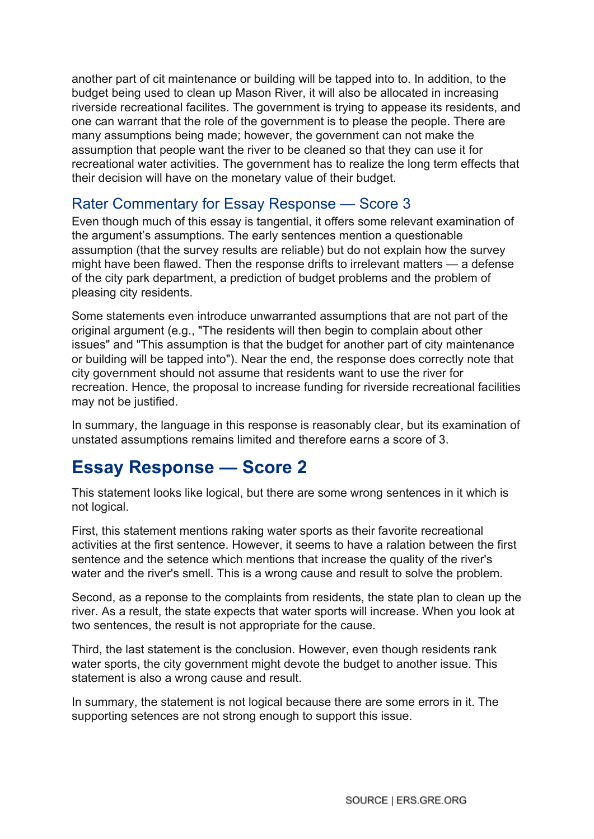another part of cit maintenance or building will be tapped into to. In addition, to the budget being used to clean up Mason River, it will also be allocated in increasing riverside recreational facilites. The government is trying to appease its residents, and one can warrant that the role of the government is to please the people. There are many assumptions being made; however, the government can not make the assumption that people want the river to be cleaned so that they can use it for recreational water activities. The government has to realize the long term effects that their decision will have on the monetary value of their budget.

### Rater Commentary for Essay Response — Score 3

Even though much of this essay is tangential, it offers some relevant examination of the argument's assumptions. The early sentences mention a questionable assumption (that the survey results are reliable) but do not explain how the survey might have been flawed. Then the response drifts to irrelevant matters — a defense of the city park department, a prediction of budget problems and the problem of pleasing city residents.

Some statements even introduce unwarranted assumptions that are not part of the original argument (e.g., "The residents will then begin to complain about other issues" and "This assumption is that the budget for another part of city maintenance or building will be tapped into"). Near the end, the response does correctly note that city government should not assume that residents want to use the river for recreation. Hence, the proposal to increase funding for riverside recreational facilities may not be justified.

In summary, the language in this response is reasonably clear, but its examination of unstated assumptions remains limited and therefore earns a score of 3.

# **Essay Response — Score 2**

This statement looks like logical, but there are some wrong sentences in it which is not logical.

First, this statement mentions raking water sports as their favorite recreational activities at the first sentence. However, it seems to have a ralation between the first sentence and the setence which mentions that increase the quality of the river's water and the river's smell. This is a wrong cause and result to solve the problem.

Second, as a reponse to the complaints from residents, the state plan to clean up the river. As a result, the state expects that water sports will increase. When you look at two sentences, the result is not appropriate for the cause.

Third, the last statement is the conclusion. However, even though residents rank water sports, the city government might devote the budget to another issue. This statement is also a wrong cause and result.

In summary, the statement is not logical because there are some errors in it. The supporting setences are not strong enough to support this issue.